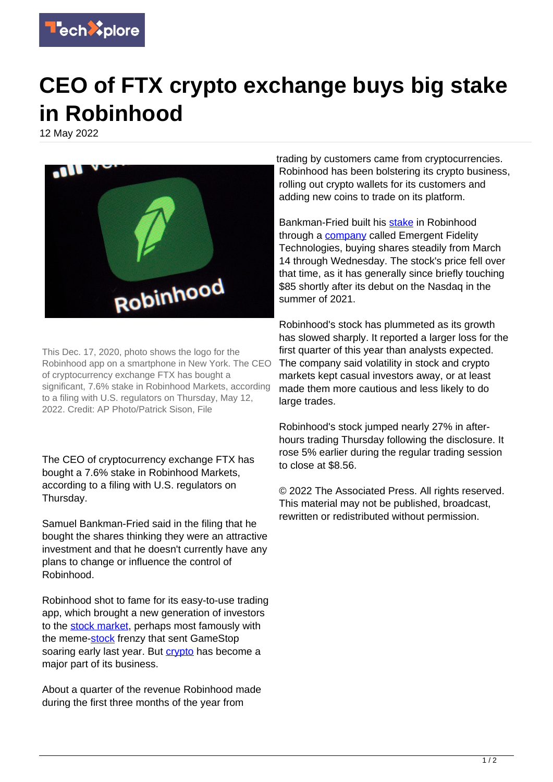

## **CEO of FTX crypto exchange buys big stake in Robinhood**

12 May 2022



This Dec. 17, 2020, photo shows the logo for the Robinhood app on a smartphone in New York. The CEO of cryptocurrency exchange FTX has bought a significant, 7.6% stake in Robinhood Markets, according to a filing with U.S. regulators on Thursday, May 12, 2022. Credit: AP Photo/Patrick Sison, File

The CEO of cryptocurrency exchange FTX has bought a 7.6% stake in Robinhood Markets, according to a filing with U.S. regulators on Thursday.

Samuel Bankman-Fried said in the filing that he bought the shares thinking they were an attractive investment and that he doesn't currently have any plans to change or influence the control of Robinhood.

Robinhood shot to fame for its easy-to-use trading app, which brought a new generation of investors to the [stock market](https://techxplore.com/tags/stock+market/), perhaps most famously with the meme-[stock](https://techxplore.com/tags/stock/) frenzy that sent GameStop soaring early last year. But [crypto](https://techxplore.com/tags/crypto/) has become a major part of its business.

About a quarter of the revenue Robinhood made during the first three months of the year from

trading by customers came from cryptocurrencies. Robinhood has been bolstering its crypto business, rolling out crypto wallets for its customers and adding new coins to trade on its platform.

Bankman-Fried built his [stake](https://techxplore.com/tags/stake/) in Robinhood through a **company** called Emergent Fidelity Technologies, buying shares steadily from March 14 through Wednesday. The stock's price fell over that time, as it has generally since briefly touching \$85 shortly after its debut on the Nasdaq in the summer of 2021.

Robinhood's stock has plummeted as its growth has slowed sharply. It reported a larger loss for the first quarter of this year than analysts expected. The company said volatility in stock and crypto markets kept casual investors away, or at least made them more cautious and less likely to do large trades.

Robinhood's stock jumped nearly 27% in afterhours trading Thursday following the disclosure. It rose 5% earlier during the regular trading session to close at \$8.56.

© 2022 The Associated Press. All rights reserved. This material may not be published, broadcast, rewritten or redistributed without permission.